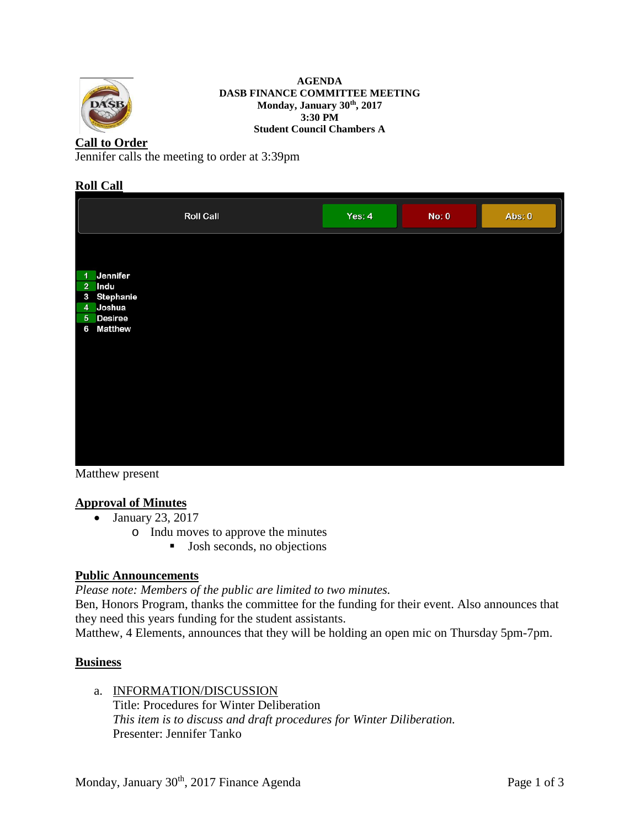

#### **AGENDA DASB FINANCE COMMITTEE MEETING Monday, January 30th, 2017 3:30 PM Student Council Chambers A**

# **Call to Order**

Jennifer calls the meeting to order at 3:39pm

### **Roll Call**

|                                                                                                              | <b>Roll Call</b> | Yes: $4$ | No: 0 | Abs: 0 |
|--------------------------------------------------------------------------------------------------------------|------------------|----------|-------|--------|
| Jennifer<br>$\blacktriangleleft$<br>2 Indu<br>Stephanie<br>3<br>4 Joshua<br>5 Desiree<br><b>Matthew</b><br>6 |                  |          |       |        |
|                                                                                                              |                  |          |       |        |

Matthew present

# **Approval of Minutes**

- January 23, 2017
	- o Indu moves to approve the minutes
		- **Josh seconds, no objections**

# **Public Announcements**

*Please note: Members of the public are limited to two minutes.* 

Ben, Honors Program, thanks the committee for the funding for their event. Also announces that they need this years funding for the student assistants.

Matthew, 4 Elements, announces that they will be holding an open mic on Thursday 5pm-7pm.

# **Business**

a. INFORMATION/DISCUSSION Title: Procedures for Winter Deliberation *This item is to discuss and draft procedures for Winter Diliberation.* Presenter: Jennifer Tanko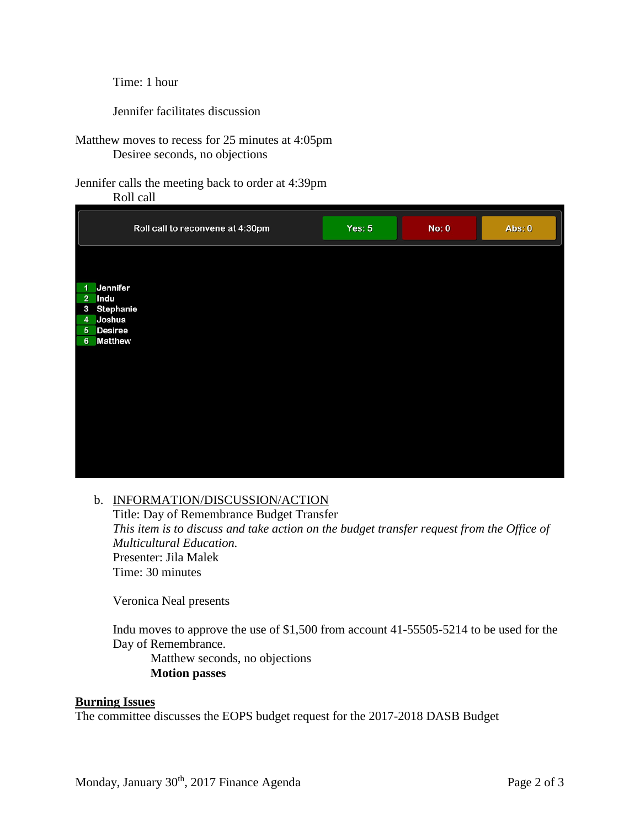Time: 1 hour

Jennifer facilitates discussion

Matthew moves to recess for 25 minutes at 4:05pm Desiree seconds, no objections

Jennifer calls the meeting back to order at 4:39pm

Roll call

|                | Roll call to reconvene at 4:30pm | Yes: $5$ | No: 0 | Abs: 0 |
|----------------|----------------------------------|----------|-------|--------|
|                |                                  |          |       |        |
| 1              | Jennifer                         |          |       |        |
| 2 <sup>7</sup> | Indu                             |          |       |        |
|                | 3 Stephanie                      |          |       |        |
|                | 4 Joshua                         |          |       |        |
|                | 5 Desiree                        |          |       |        |
|                | 6 Matthew                        |          |       |        |
|                |                                  |          |       |        |
|                |                                  |          |       |        |
|                |                                  |          |       |        |
|                |                                  |          |       |        |
|                |                                  |          |       |        |
|                |                                  |          |       |        |
|                |                                  |          |       |        |
|                |                                  |          |       |        |
|                |                                  |          |       |        |
|                |                                  |          |       |        |
|                |                                  |          |       |        |

### b. INFORMATION/DISCUSSION/ACTION

Title: Day of Remembrance Budget Transfer *This item is to discuss and take action on the budget transfer request from the Office of Multicultural Education.* Presenter: Jila Malek Time: 30 minutes

Veronica Neal presents

Indu moves to approve the use of \$1,500 from account 41-55505-5214 to be used for the Day of Remembrance.

Matthew seconds, no objections **Motion passes**

#### **Burning Issues**

The committee discusses the EOPS budget request for the 2017-2018 DASB Budget